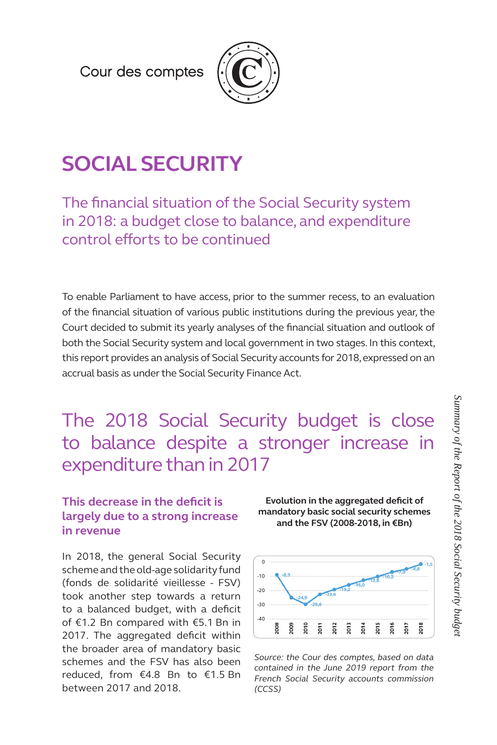Cour des comptes



# **SOCIAL SECURITY**

The financial situation of the Social Security system in 2018: a budget close to balance, and expenditure control efforts to be continued

To enable Parliament to have access, prior to the summer recess, to an evaluation of the financial situation of various public institutions during the previous year, the Court decided to submit its yearly analyses of the financial situation and outlook of both the Social Security system and local government in two stages. In this context, this report provides an analysis of Social Security accounts for 2018, expressed on an accrual basis as under the Social Security Finance Act.

The 2018 Social Security budget is close to balance despite a stronger increase in expenditure than in 2017

### **This decrease in the deficit is largely due to a strong increase in revenue**

In 2018, the general Social Security scheme and the old-age solidarity fund (fonds de solidarité vieillesse - FSV) took another step towards a return to a balanced budget, with a deficit of €1.2 Bn compared with €5.1 Bn in 2017. The aggregated deficit within the broader area of mandatory basic schemes and the FSV has also been reduced, from €4.8 Bn to €1.5 Bn between 2017 and 2018.

**Evolution in the aggregated deficit of mandatory basic social security schemes and the FSV (2008-2018, in €Bn)**



*Source: the Cour des comptes, based on data contained in the June 2019 report from the French Social Security accounts commission (CCSS)*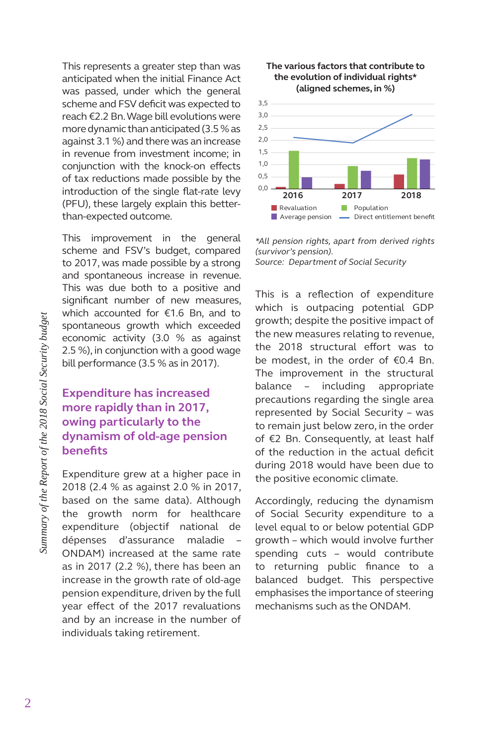This represents a greater step than was anticipated when the initial Finance Act was passed, under which the general scheme and FSV deficit was expected to reach €2.2 Bn. Wage bill evolutions were more dynamic than anticipated (3.5 % as against 3.1 %) and there was an increase in revenue from investment income; in conjunction with the knock-on effects of tax reductions made possible by the introduction of the single flat-rate levy (PFU), these largely explain this betterthan-expected outcome.

This improvement in the general scheme and FSV's budget, compared to 2017, was made possible by a strong and spontaneous increase in revenue. This was due both to a positive and significant number of new measures, which accounted for €1.6 Bn, and to spontaneous growth which exceeded economic activity (3.0 % as against 2.5 %), in conjunction with a good wage bill performance (3.5 % as in 2017).

#### **Expenditure has increased more rapidly than in 2017, owing particularly to the dynamism of old-age pension benefits**

Expenditure grew at a higher pace in 2018 (2.4 % as against 2.0 % in 2017, based on the same data). Although the growth norm for healthcare expenditure (objectif national de dépenses d'assurance maladie – ONDAM) increased at the same rate as in 2017 (2.2 %), there has been an increase in the growth rate of old-age pension expenditure, driven by the full year effect of the 2017 revaluations and by an increase in the number of individuals taking retirement.





*\*All pension rights, apart from derived rights (survivor's pension). Source: Department of Social Security*

This is a reflection of expenditure which is outpacing potential GDP growth; despite the positive impact of the new measures relating to revenue, the 2018 structural effort was to be modest, in the order of €0.4 Bn. The improvement in the structural balance – including appropriate precautions regarding the single area represented by Social Security – was to remain just below zero, in the order of €2 Bn. Consequently, at least half of the reduction in the actual deficit during 2018 would have been due to the positive economic climate.

Accordingly, reducing the dynamism of Social Security expenditure to a level equal to or below potential GDP growth – which would involve further spending cuts – would contribute to returning public finance to a balanced budget. This perspective emphasises the importance of steering mechanisms such as the ONDAM.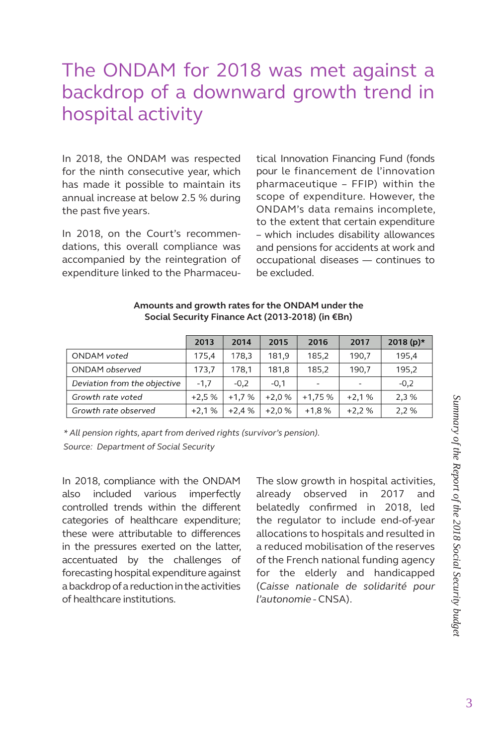## The ONDAM for 2018 was met against a backdrop of a downward growth trend in hospital activity

In 2018, the ONDAM was respected for the ninth consecutive year, which has made it possible to maintain its annual increase at below 2.5 % during the past five years.

In 2018, on the Court's recommendations, this overall compliance was accompanied by the reintegration of expenditure linked to the Pharmaceutical Innovation Financing Fund (fonds pour le financement de l'innovation pharmaceutique – FFIP) within the scope of expenditure. However, the ONDAM's data remains incomplete, to the extent that certain expenditure – which includes disability allowances and pensions for accidents at work and occupational diseases — continues to be excluded.

|                              | 2013    | 2014    | 2015    | 2016     | 2017    | 2018 $(p)*$ |
|------------------------------|---------|---------|---------|----------|---------|-------------|
| ONDAM voted                  | 175,4   | 178,3   | 181,9   | 185,2    | 190,7   | 195,4       |
| ONDAM observed               | 173.7   | 178.1   | 181.8   | 185.2    | 190.7   | 195.2       |
| Deviation from the objective | $-1.7$  | $-0,2$  | $-0,1$  | -        |         | $-0,2$      |
| Growth rate voted            | $+2.5%$ | $+1.7%$ | $+2.0%$ | $+1,75%$ | $+2,1%$ | 2,3 %       |
| Growth rate observed         | $+2.1%$ | $+2.4%$ | $+2.0%$ | $+1,8%$  | $+2.2%$ | 2,2 %       |

#### **Amounts and growth rates for the ONDAM under the Social Security Finance Act (2013-2018) (in €Bn)**

*\* All pension rights, apart from derived rights (survivor's pension). Source: Department of Social Security* 

In 2018, compliance with the ONDAM also included various imperfectly controlled trends within the different categories of healthcare expenditure; these were attributable to differences in the pressures exerted on the latter, accentuated by the challenges of forecasting hospital expenditure against a backdrop of a reduction in the activities of healthcare institutions.

The slow growth in hospital activities, already observed in 2017 and belatedly confirmed in 2018, led the regulator to include end-of-year allocations to hospitals and resulted in a reduced mobilisation of the reserves of the French national funding agency for the elderly and handicapped (*Caisse nationale de solidarité pour l'autonomie* - CNSA).